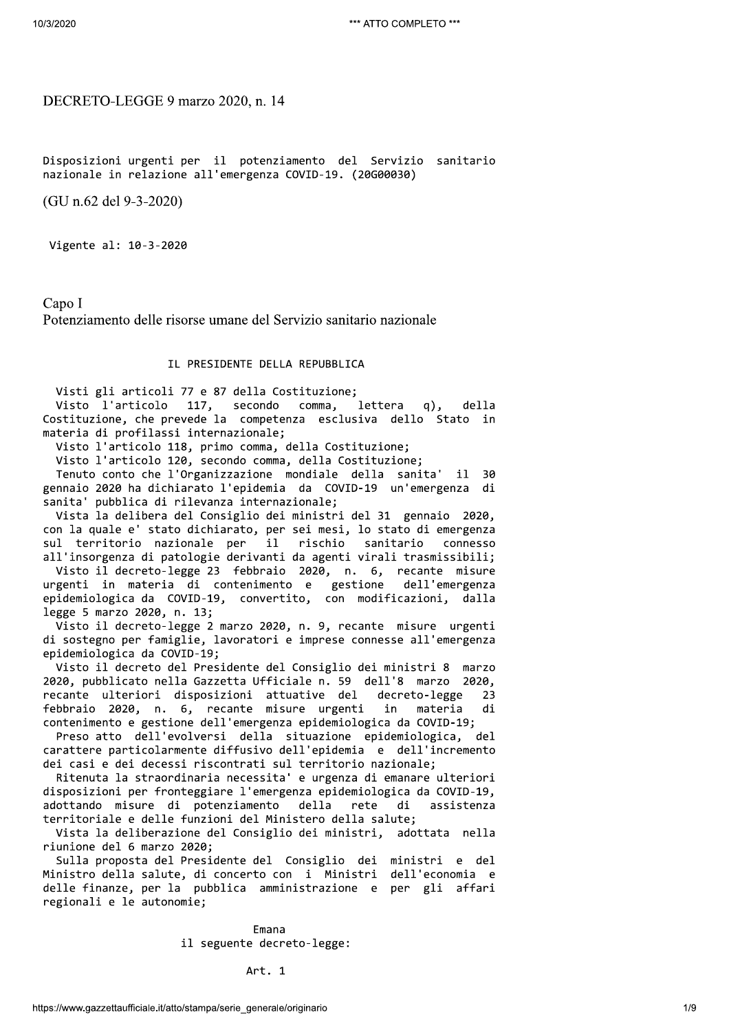# DECRETO-LEGGE 9 marzo 2020, n. 14

Disposizioni urgenti per il potenziamento del Servizio sanitario nazionale in relazione all'emergenza COVID-19. (20G00030)

(GU n.62 del 9-3-2020)

Vigente al: 10-3-2020

Capo I Potenziamento delle risorse umane del Servizio sanitario nazionale

# IL PRESIDENTE DELLA REPUBBLICA

Visti gli articoli 77 e 87 della Costituzione;

Visto l'articolo 117, secondo comma, lettera q), della Costituzione, che prevede la competenza esclusiva dello Stato in materia di profilassi internazionale;

Visto l'articolo 118, primo comma, della Costituzione;

Visto l'articolo 120, secondo comma, della Costituzione;

Tenuto conto che l'Organizzazione mondiale della sanita' il 30 gennaio 2020 ha dichiarato l'epidemia da COVID-19 un'emergenza di sanita' pubblica di rilevanza internazionale;

Vista la delibera del Consiglio dei ministri del 31 gennaio 2020, con la quale e' stato dichiarato, per sei mesi, lo stato di emergenza sul territorio nazionale per  $i1$ rischio sanitario connesso all'insorgenza di patologie derivanti da agenti virali trasmissibili;

Visto il decreto-legge 23 febbraio 2020, n. 6, recante misure urgenti in materia di contenimento e gestione dell'emergenza epidemiologica da COVID-19, convertito, con modificazioni, dalla legge 5 marzo 2020, n. 13;

Visto il decreto-legge 2 marzo 2020, n. 9, recante misure urgenti di sostegno per famiglie, lavoratori e imprese connesse all'emergenza epidemiologica da COVID-19;

Visto il decreto del Presidente del Consiglio dei ministri 8 marzo 2020, pubblicato nella Gazzetta Ufficiale n. 59 dell'8 marzo 2020, recante ulteriori disposizioni attuative del decreto-legge  $23$ febbraio 2020, n. 6, recante misure urgenti in materia di contenimento e gestione dell'emergenza epidemiologica da COVID-19;

Preso atto dell'evolversi della situazione epidemiologica, del carattere particolarmente diffusivo dell'epidemia e dell'incremento dei casi e dei decessi riscontrati sul territorio nazionale;

Ritenuta la straordinaria necessita' e urgenza di emanare ulteriori disposizioni per fronteggiare l'emergenza epidemiologica da COVID-19, adottando misure di potenziamento della rete di assistenza territoriale e delle funzioni del Ministero della salute;

Vista la deliberazione del Consiglio dei ministri, adottata nella riunione del 6 marzo 2020;

Sulla proposta del Presidente del Consiglio dei ministri e del Ministro della salute, di concerto con i Ministri dell'economia e delle finanze, per la pubblica amministrazione e per gli affari regionali e le autonomie;

> Emana il seguente decreto-legge:

> > Art. 1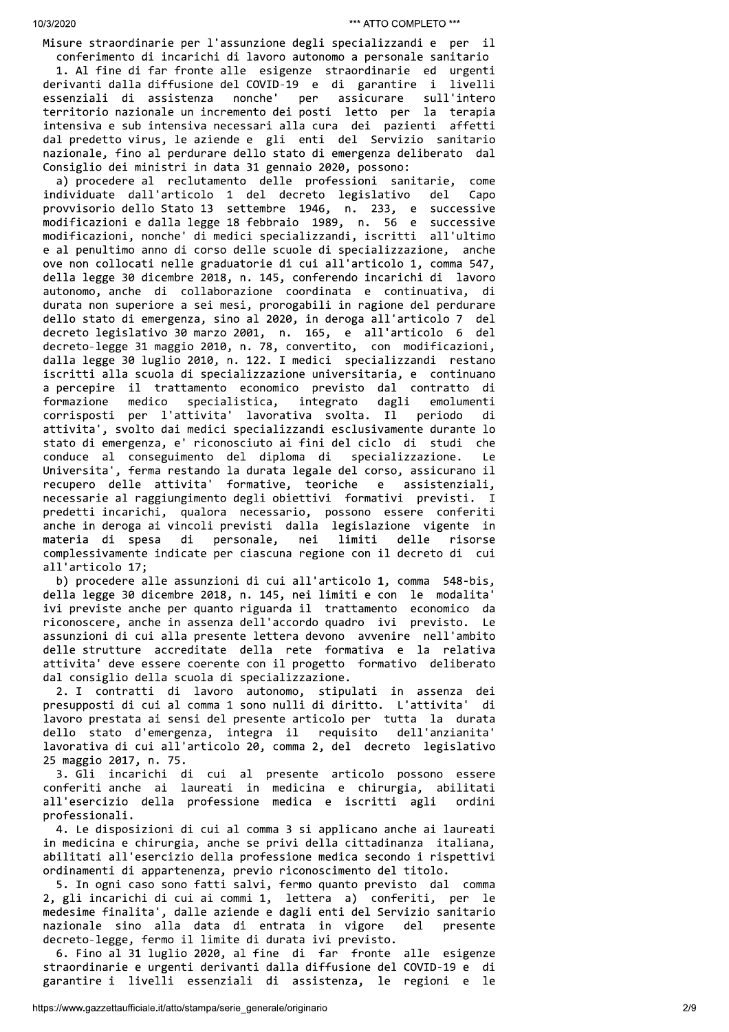Misure straordinarie per l'assunzione degli specializzandi e per il conferimento di incarichi di lavoro autonomo a personale sanitario

1. Al fine di far fronte alle esigenze straordinarie ed urgenti derivanti dalla diffusione del COVID-19 e di garantire i livelli nonche' essenziali di assistenza per assicurare sull'intero territorio nazionale un incremento dei posti letto per la terapia intensiva e sub intensiva necessari alla cura dei pazienti affetti dal predetto virus, le aziende e gli enti del Servizio sanitario nazionale, fino al perdurare dello stato di emergenza deliberato dal Consiglio dei ministri in data 31 gennaio 2020, possono:

a) procedere al reclutamento delle professioni sanitarie, come individuate dall'articolo 1 del decreto legislativo del Capo provvisorio dello Stato 13 settembre 1946, n. 233, e successive modificazioni e dalla legge 18 febbraio 1989, n. 56 e successive modificazioni, nonche' di medici specializzandi, iscritti all'ultimo e al penultimo anno di corso delle scuole di specializzazione, anche ove non collocati nelle graduatorie di cui all'articolo 1, comma 547, della legge 30 dicembre 2018, n. 145, conferendo incarichi di lavoro autonomo, anche di collaborazione coordinata e continuativa, di durata non superiore a sei mesi, prorogabili in ragione del perdurare dello stato di emergenza, sino al 2020, in deroga all'articolo 7 del decreto legislativo 30 marzo 2001, n. 165, e all'articolo 6 del decreto-legge 31 maggio 2010, n. 78, convertito, con modificazioni, dalla legge 30 luglio 2010, n. 122. I medici specializzandi restano iscritti alla scuola di specializzazione universitaria, e continuano a percepire il trattamento economico previsto dal contratto di specialistica, dagli formazione medico integrato emolumenti corrisposti per l'attivita' lavorativa svolta. Il periodo di attivita', svolto dai medici specializzandi esclusivamente durante lo stato di emergenza, e' riconosciuto ai fini del ciclo di studi che conduce al conseguimento del diploma di specializzazione. Le Universita', ferma restando la durata legale del corso, assicurano il recupero delle attivita' formative, teoriche e assistenziali, necessarie al raggiungimento degli obiettivi formativi previsti. I predetti incarichi, qualora necessario, possono essere conferiti anche in deroga ai vincoli previsti dalla legislazione vigente in materia di spesa di personale, nei limiti delle risorse complessivamente indicate per ciascuna regione con il decreto di cui all'articolo 17;

b) procedere alle assunzioni di cui all'articolo 1, comma 548-bis, della legge 30 dicembre 2018, n. 145, nei limiti e con le modalita' ivi previste anche per quanto riguarda il trattamento economico da riconoscere, anche in assenza dell'accordo quadro ivi previsto. Le assunzioni di cui alla presente lettera devono avvenire nell'ambito delle strutture accreditate della rete formativa e la relativa attivita' deve essere coerente con il progetto formativo deliberato dal consiglio della scuola di specializzazione.

2. I contratti di lavoro autonomo, stipulati in assenza dei presupposti di cui al comma 1 sono nulli di diritto. L'attivita' di lavoro prestata ai sensi del presente articolo per tutta la durata dello stato d'emergenza, integra il requisito dell'anzianita' lavorativa di cui all'articolo 20, comma 2, del decreto legislativo 25 maggio 2017, n. 75.

3. Gli incarichi di cui al presente articolo possono essere conferiti anche ai laureati in medicina e chirurgia, abilitati all'esercizio della professione medica e iscritti agli ordini professionali.

4. Le disposizioni di cui al comma 3 si applicano anche ai laureati in medicina e chirurgia, anche se privi della cittadinanza italiana, abilitati all'esercizio della professione medica secondo i rispettivi ordinamenti di appartenenza, previo riconoscimento del titolo.

5. In ogni caso sono fatti salvi, fermo quanto previsto dal comma 2, gli incarichi di cui ai commi 1, lettera a) conferiti, per le medesime finalita', dalle aziende e dagli enti del Servizio sanitario nazionale sino alla data di entrata in vigore  $de<sub>1</sub>$ presente decreto-legge, fermo il limite di durata ivi previsto.

6. Fino al 31 luglio 2020, al fine di far fronte alle esigenze straordinarie e urgenti derivanti dalla diffusione del COVID-19 e di garantire i livelli essenziali di assistenza, le regioni e le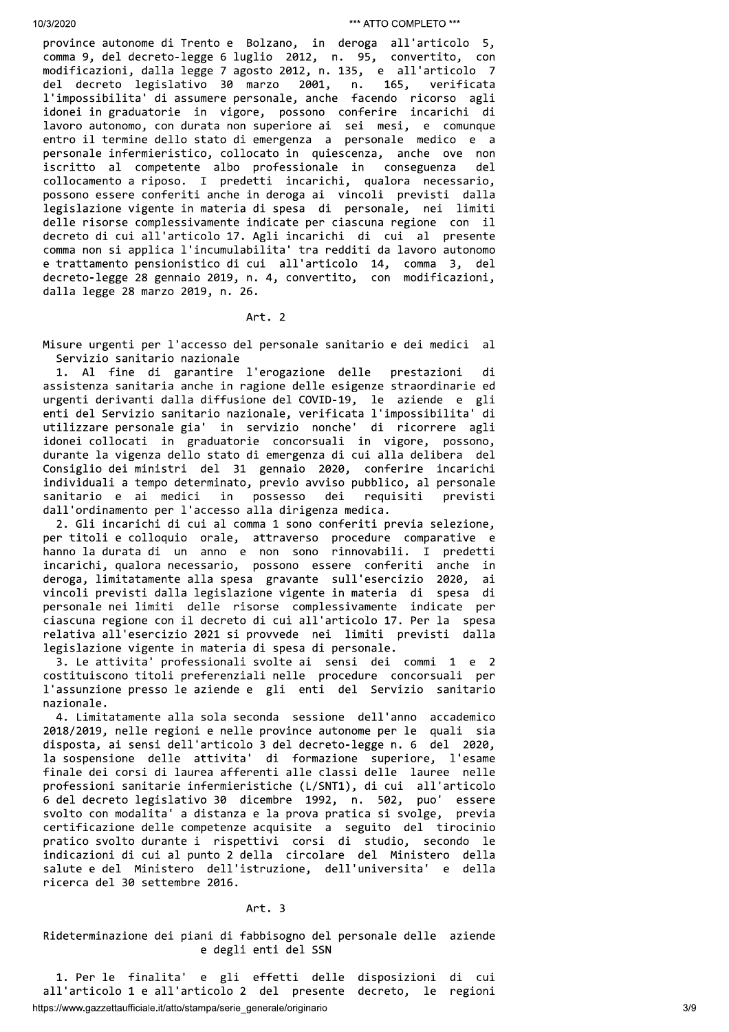province autonome di Trento e Bolzano, in deroga all'articolo 5, comma 9, del decreto-legge 6 luglio 2012, n. 95, convertito, con modificazioni, dalla legge 7 agosto 2012, n. 135, e all'articolo 7 del decreto legislativo 30 marzo 2001, n. 165, verificata l'impossibilita' di assumere personale, anche facendo ricorso agli idonei in graduatorie in vigore, possono conferire incarichi di lavoro autonomo, con durata non superiore ai sei mesi, e comunque entro il termine dello stato di emergenza a personale medico e a personale infermieristico, collocato in quiescenza, anche ove non iscritto al competente albo professionale in conseguenza del collocamento a riposo. I predetti incarichi, qualora necessario, possono essere conferiti anche in deroga ai vincoli previsti dalla legislazione vigente in materia di spesa di personale, nei limiti delle risorse complessivamente indicate per ciascuna regione con il decreto di cui all'articolo 17. Agli incarichi di cui al presente comma non si applica l'incumulabilita' tra redditi da lavoro autonomo e trattamento pensionistico di cui all'articolo 14, comma 3, del decreto-legge 28 gennaio 2019, n. 4, convertito, con modificazioni, dalla legge 28 marzo 2019, n. 26.

#### Art. 2

Misure urgenti per l'accesso del personale sanitario e dei medici al Servizio sanitario nazionale

1. Al fine di garantire l'erogazione delle prestazioni di assistenza sanitaria anche in ragione delle esigenze straordinarie ed urgenti derivanti dalla diffusione del COVID-19, le aziende e gli enti del Servizio sanitario nazionale, verificata l'impossibilita' di utilizzare personale gia' in servizio nonche' di ricorrere agli idonei collocati in graduatorie concorsuali in vigore, possono, durante la vigenza dello stato di emergenza di cui alla delibera del Consiglio dei ministri del 31 gennaio 2020, conferire incarichi individuali a tempo determinato, previo avviso pubblico, al personale possesso sanitario e ai medici dei requisiti in previsti dall'ordinamento per l'accesso alla dirigenza medica.

2. Gli incarichi di cui al comma 1 sono conferiti previa selezione, per titoli e colloquio orale, attraverso procedure comparative e hanno la durata di un anno e non sono rinnovabili. I predetti incarichi, qualora necessario, possono essere conferiti anche in deroga, limitatamente alla spesa gravante sull'esercizio 2020, ai vincoli previsti dalla legislazione vigente in materia di spesa di personale nei limiti delle risorse complessivamente indicate per ciascuna regione con il decreto di cui all'articolo 17. Per la spesa relativa all'esercizio 2021 si provvede nei limiti previsti dalla legislazione vigente in materia di spesa di personale.

3. Le attivita' professionali svolte ai sensi dei commi 1 e 2 costituiscono titoli preferenziali nelle procedure concorsuali per l'assunzione presso le aziende e gli enti del Servizio sanitario nazionale.

4. Limitatamente alla sola seconda sessione dell'anno accademico 2018/2019, nelle regioni e nelle province autonome per le quali sia disposta, ai sensi dell'articolo 3 del decreto-legge n. 6 del 2020, la sospensione delle attivita' di formazione superiore, l'esame finale dei corsi di laurea afferenti alle classi delle lauree nelle professioni sanitarie infermieristiche (L/SNT1), di cui all'articolo 6 del decreto legislativo 30 dicembre 1992, n. 502, puo' essere svolto con modalita' a distanza e la prova pratica si svolge, previa certificazione delle competenze acquisite a seguito del tirocinio pratico svolto durante i rispettivi corsi di studio, secondo le indicazioni di cui al punto 2 della circolare del Ministero della salute e del Ministero dell'istruzione, dell'universita' e della ricerca del 30 settembre 2016.

#### Art. 3

Rideterminazione dei piani di fabbisogno del personale delle aziende e degli enti del SSN

1. Per le finalita' e gli effetti delle disposizioni di cui all'articolo 1 e all'articolo 2 del presente decreto, le regioni https://www.gazzettaufficiale.it/atto/stampa/serie\_generale/originario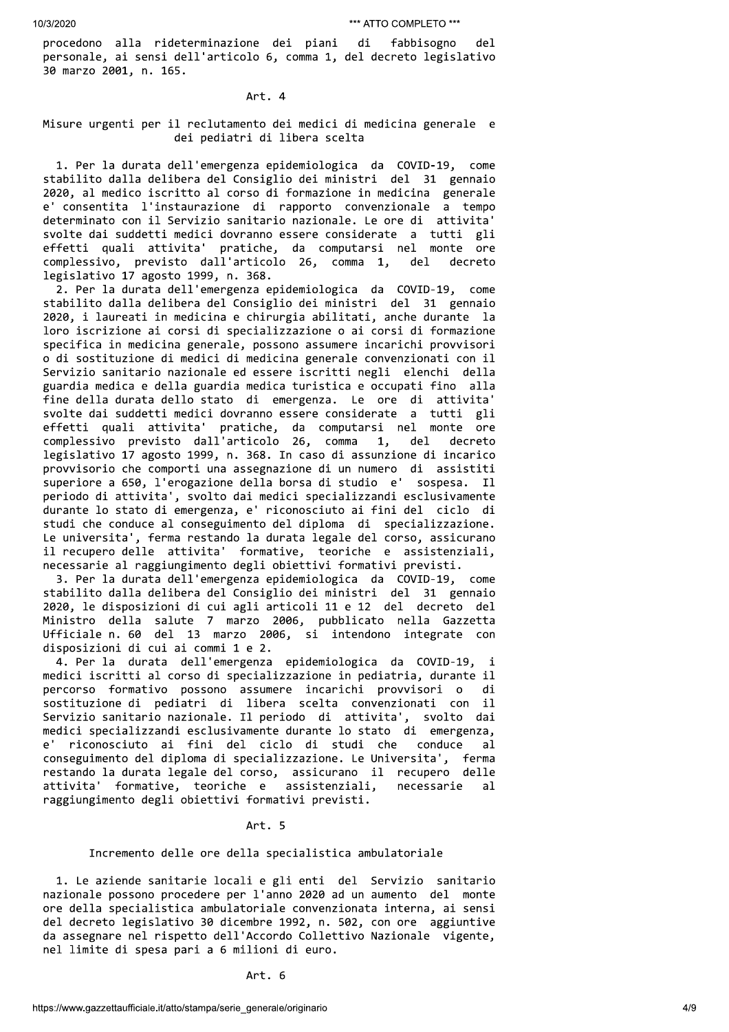procedono alla rideterminazione dei piani di fabbisogno del. personale, ai sensi dell'articolo 6, comma 1, del decreto legislativo 30 marzo 2001, n. 165.

#### Art. 4

### Misure urgenti per il reclutamento dei medici di medicina generale e dei pediatri di libera scelta

1. Per la durata dell'emergenza epidemiologica da COVID-19, come stabilito dalla delibera del Consiglio dei ministri del 31 gennaio 2020, al medico iscritto al corso di formazione in medicina generale e' consentita l'instaurazione di rapporto convenzionale a tempo determinato con il Servizio sanitario nazionale. Le ore di attivita' svolte dai suddetti medici dovranno essere considerate a tutti gli effetti quali attivita' pratiche, da computarsi nel monte ore complessivo, previsto dall'articolo 26, comma 1, del decreto legislativo 17 agosto 1999, n. 368.

2. Per la durata dell'emergenza epidemiologica da COVID-19, come stabilito dalla delibera del Consiglio dei ministri del 31 gennaio 2020, i laureati in medicina e chirurgia abilitati, anche durante la loro iscrizione ai corsi di specializzazione o ai corsi di formazione specifica in medicina generale, possono assumere incarichi provvisori o di sostituzione di medici di medicina generale convenzionati con il Servizio sanitario nazionale ed essere iscritti negli elenchi della guardia medica e della guardia medica turistica e occupati fino alla fine della durata dello stato di emergenza. Le ore di attivita' svolte dai suddetti medici dovranno essere considerate a tutti gli effetti quali attivita' pratiche, da computarsi nel monte ore  $1,$ complessivo previsto dall'articolo 26, comma del decreto legislativo 17 agosto 1999, n. 368. In caso di assunzione di incarico provvisorio che comporti una assegnazione di un numero di assistiti superiore a 650, l'erogazione della borsa di studio e' sospesa. Il periodo di attivita', svolto dai medici specializzandi esclusivamente durante lo stato di emergenza, e' riconosciuto ai fini del ciclo di studi che conduce al conseguimento del diploma di specializzazione. Le universita', ferma restando la durata legale del corso, assicurano il recupero delle attivita' formative, teoriche e assistenziali, necessarie al raggiungimento degli obiettivi formativi previsti.

3. Per la durata dell'emergenza epidemiologica da COVID-19, come stabilito dalla delibera del Consiglio dei ministri del 31 gennaio 2020, le disposizioni di cui agli articoli 11 e 12 del decreto del Ministro della salute 7 marzo 2006, pubblicato nella Gazzetta Ufficiale n. 60 del 13 marzo 2006, si intendono integrate con disposizioni di cui ai commi 1 e 2.

4. Per la durata dell'emergenza epidemiologica da COVID-19, i medici iscritti al corso di specializzazione in pediatria, durante il percorso formativo possono assumere incarichi provvisori o di sostituzione di pediatri di libera scelta convenzionati con il Servizio sanitario nazionale. Il periodo di attivita', svolto dai medici specializzandi esclusivamente durante lo stato di emergenza, riconosciuto ai fini del ciclo di studi che conduce  $e^{\prime}$ al. conseguimento del diploma di specializzazione. Le Universita', ferma restando la durata legale del corso, assicurano il recupero delle attivita' formative, teoriche e assistenziali, necessarie  $a1$ raggiungimento degli obiettivi formativi previsti.

#### Art. 5

### Incremento delle ore della specialistica ambulatoriale

1. Le aziende sanitarie locali e gli enti del Servizio sanitario nazionale possono procedere per l'anno 2020 ad un aumento del monte ore della specialistica ambulatoriale convenzionata interna, ai sensi del decreto legislativo 30 dicembre 1992, n. 502, con ore aggiuntive da assegnare nel rispetto dell'Accordo Collettivo Nazionale vigente, nel limite di spesa pari a 6 milioni di euro.

Art. 6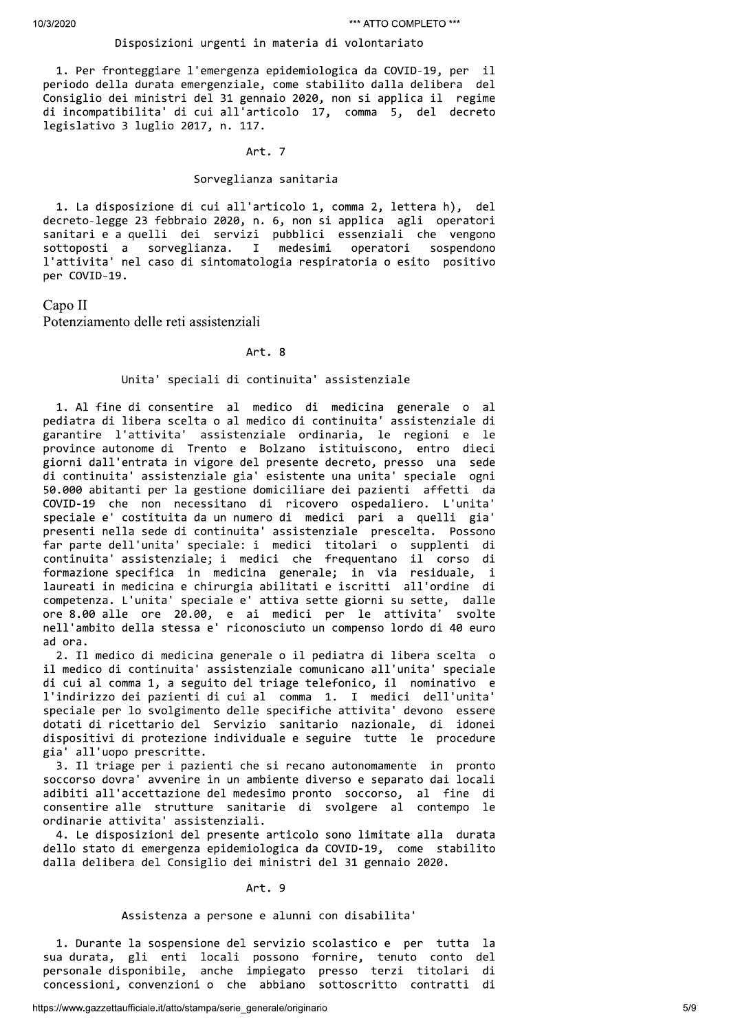#### Disposizioni urgenti in materia di volontariato

1. Per fronteggiare l'emergenza epidemiologica da COVID-19, per il periodo della durata emergenziale, come stabilito dalla delibera del Consiglio dei ministri del 31 gennaio 2020, non si applica il regime di incompatibilita' di cui all'articolo 17, comma 5, del decreto legislativo 3 luglio 2017, n. 117.

#### Art. 7

#### Sorveglianza sanitaria

1. La disposizione di cui all'articolo 1, comma 2, lettera h), del decreto-legge 23 febbraio 2020, n. 6, non si applica agli operatori sanitari e a quelli dei servizi pubblici essenziali che vengono sottoposti a sorveglianza. I medesimi operatori sospendono l'attivita' nel caso di sintomatologia respiratoria o esito positivo per COVID-19.

## Capo II

Potenziamento delle reti assistenziali

### Art. 8

#### Unita' speciali di continuita' assistenziale

1. Al fine di consentire al medico di medicina generale o al pediatra di libera scelta o al medico di continuita' assistenziale di garantire l'attivita' assistenziale ordinaria, le regioni e le province autonome di Trento e Bolzano istituiscono, entro dieci giorni dall'entrata in vigore del presente decreto, presso una sede di continuita' assistenziale gia' esistente una unita' speciale ogni 50.000 abitanti per la gestione domiciliare dei pazienti affetti da COVID-19 che non necessitano di ricovero ospedaliero. L'unita' speciale e' costituita da un numero di medici pari a quelli gia' presenti nella sede di continuita' assistenziale prescelta. Possono far parte dell'unita' speciale: i medici titolari o supplenti di continuita' assistenziale; i medici che frequentano il corso di formazione specifica in medicina generale; in via residuale, i laureati in medicina e chirurgia abilitati e iscritti all'ordine di competenza. L'unita' speciale e' attiva sette giorni su sette, dalle ore 8.00 alle ore 20.00, e ai medici per le attivita' svolte nell'ambito della stessa e' riconosciuto un compenso lordo di 40 euro ad ora.

2. Il medico di medicina generale o il pediatra di libera scelta o il medico di continuita' assistenziale comunicano all'unita' speciale di cui al comma 1, a seguito del triage telefonico, il nominativo e l'indirizzo dei pazienti di cui al comma 1. I medici dell'unita' speciale per lo svolgimento delle specifiche attivita' devono essere dotati di ricettario del Servizio sanitario nazionale, di idonei dispositivi di protezione individuale e seguire tutte le procedure gia' all'uopo prescritte.

3. Il triage per i pazienti che si recano autonomamente in pronto soccorso dovra' avvenire in un ambiente diverso e separato dai locali adibiti all'accettazione del medesimo pronto soccorso, al fine di consentire alle strutture sanitarie di svolgere al contempo le ordinarie attivita' assistenziali.

4. Le disposizioni del presente articolo sono limitate alla durata dello stato di emergenza epidemiologica da COVID-19, come stabilito dalla delibera del Consiglio dei ministri del 31 gennaio 2020.

#### Art. 9

#### Assistenza a persone e alunni con disabilita'

1. Durante la sospensione del servizio scolastico e per tutta la sua durata, gli enti locali possono fornire, tenuto conto del personale disponibile, anche impiegato presso terzi titolari di concessioni, convenzioni o che abbiano sottoscritto contratti di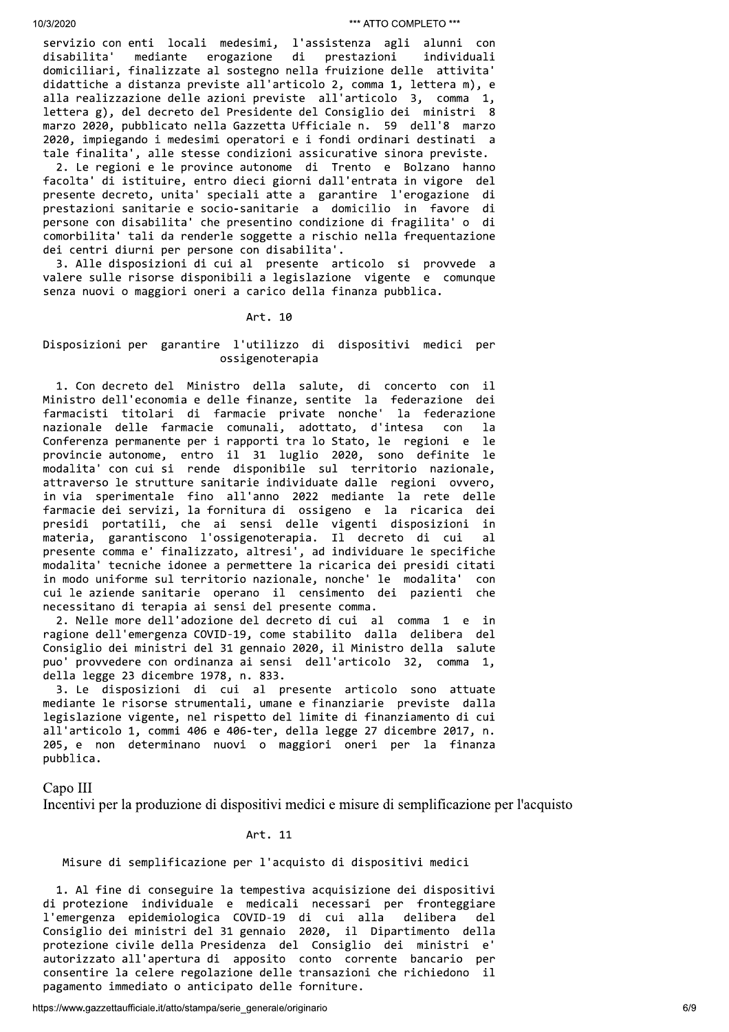servizio con enti locali medesimi, l'assistenza agli alunni con disabilita' mediante erogazione di prestazioni individuali domiciliari, finalizzate al sostegno nella fruizione delle attivita' didattiche a distanza previste all'articolo 2, comma 1, lettera m), e alla realizzazione delle azioni previste all'articolo 3, comma 1, lettera g), del decreto del Presidente del Consiglio dei ministri 8 marzo 2020, pubblicato nella Gazzetta Ufficiale n. 59 dell'8 marzo 2020, impiegando i medesimi operatori e i fondi ordinari destinati a tale finalita', alle stesse condizioni assicurative sinora previste.

2. Le regioni e le province autonome di Trento e Bolzano hanno facolta' di istituire, entro dieci giorni dall'entrata in vigore del presente decreto, unita' speciali atte a garantire l'erogazione di prestazioni sanitarie e socio-sanitarie a domicilio in favore di persone con disabilita' che presentino condizione di fragilita' o di comorbilita' tali da renderle soggette a rischio nella frequentazione dei centri diurni per persone con disabilita'.

3. Alle disposizioni di cui al presente articolo si provvede a valere sulle risorse disponibili a legislazione vigente e comunque senza nuovi o maggiori oneri a carico della finanza pubblica.

#### Art. 10

#### Disposizioni per garantire l'utilizzo di dispositivi medici per ossigenoterapia

1. Con decreto del Ministro della salute, di concerto con il Ministro dell'economia e delle finanze, sentite la federazione dei farmacisti titolari di farmacie private nonche' la federazione nazionale delle farmacie comunali, adottato, d'intesa con  $1a$ Conferenza permanente per i rapporti tra lo Stato, le regioni e le provincie autonome, entro il 31 luglio 2020, sono definite le modalita' con cui si rende disponibile sul territorio nazionale, attraverso le strutture sanitarie individuate dalle regioni ovvero, in via sperimentale fino all'anno 2022 mediante la rete delle<br>farmacie dei servizi, la fornitura di ossigeno e la ricarica dei presidi portatili, che ai sensi delle vigenti disposizioni in materia, garantiscono l'ossigenoterapia. Il decreto di cui  $a<sup>1</sup>$ presente comma e' finalizzato, altresi', ad individuare le specifiche modalita' tecniche idonee a permettere la ricarica dei presidi citati in modo uniforme sul territorio nazionale, nonche' le modalita' con cui le aziende sanitarie operano il censimento dei pazienti che necessitano di terapia ai sensi del presente comma.

2. Nelle more dell'adozione del decreto di cui al comma 1 e in ragione dell'emergenza COVID-19, come stabilito dalla delibera del Consiglio dei ministri del 31 gennaio 2020, il Ministro della salute puo' provvedere con ordinanza ai sensi dell'articolo 32, comma 1, della legge 23 dicembre 1978, n. 833.

3. Le disposizioni di cui al presente articolo sono attuate mediante le risorse strumentali, umane e finanziarie previste dalla legislazione vigente, nel rispetto del limite di finanziamento di cui all'articolo 1, commi 406 e 406-ter, della legge 27 dicembre 2017, n. 205, e non determinano nuovi o maggiori oneri per la finanza pubblica.

Capo III

Incentivi per la produzione di dispositivi medici e misure di semplificazione per l'acquisto

#### Art. 11

#### Misure di semplificazione per l'acquisto di dispositivi medici

1. Al fine di conseguire la tempestiva acquisizione dei dispositivi di protezione individuale e medicali necessari per fronteggiare l'emergenza epidemiologica COVID-19 di cui alla delibera  $de<sub>1</sub>$ Consiglio dei ministri del 31 gennaio 2020, il Dipartimento della protezione civile della Presidenza del Consiglio dei ministri e' autorizzato all'apertura di apposito conto corrente bancario per consentire la celere regolazione delle transazioni che richiedono il pagamento immediato o anticipato delle forniture.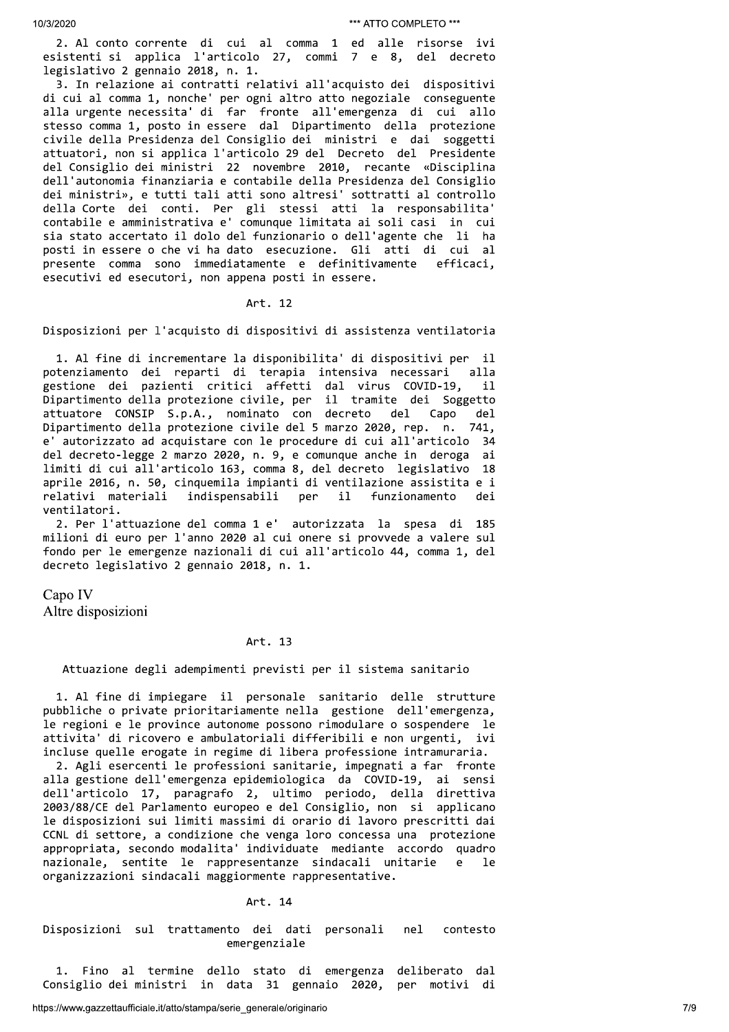2. Al conto corrente di cui al comma 1 ed alle risorse ivi esistenti si applica l'articolo 27, commi 7 e 8, del decreto legislativo 2 gennaio 2018, n. 1.

3. In relazione ai contratti relativi all'acquisto dei dispositivi di cui al comma 1, nonche' per ogni altro atto negoziale conseguente alla urgente necessita' di far fronte all'emergenza di cui allo stesso comma 1, posto in essere dal Dipartimento della protezione civile della Presidenza del Consiglio dei ministri e dai soggetti attuatori, non si applica l'articolo 29 del Decreto del Presidente del Consiglio dei ministri 22 novembre 2010, recante «Disciplina dell'autonomia finanziaria e contabile della Presidenza del Consiglio dei ministri», e tutti tali atti sono altresi' sottratti al controllo della Corte dei conti. Per gli stessi atti la responsabilita' contabile e amministrativa e' comunque limitata ai soli casi in cui sia stato accertato il dolo del funzionario o dell'agente che li ha posti in essere o che vi ha dato esecuzione. Gli atti di cui al efficaci, presente comma sono immediatamente e definitivamente esecutivi ed esecutori, non appena posti in essere.

#### Art. 12

Disposizioni per l'acquisto di dispositivi di assistenza ventilatoria

1. Al fine di incrementare la disponibilita' di dispositivi per il potenziamento dei reparti di terapia intensiva necessari  $a11a$ gestione dei pazienti critici affetti dal virus COVID-19,  $11$ Dipartimento della protezione civile, per il tramite dei Soggetto attuatore CONSIP S.p.A., nominato con decreto  $de1$ Capo  $de<sub>1</sub>$ Dipartimento della protezione civile del 5 marzo 2020, rep. n. 741. e' autorizzato ad acquistare con le procedure di cui all'articolo 34 del decreto-legge 2 marzo 2020, n. 9, e comunque anche in deroga ai limiti di cui all'articolo 163, comma 8, del decreto legislativo 18 aprile 2016, n. 50, cinquemila impianti di ventilazione assistita e i relativi materiali indispensabili per  $i1$ funzionamento dei ventilatori.

2. Per l'attuazione del comma 1 e' autorizzata la spesa di 185 milioni di euro per l'anno 2020 al cui onere si provvede a valere sul fondo per le emergenze nazionali di cui all'articolo 44, comma 1, del decreto legislativo 2 gennaio 2018, n. 1.

Capo IV

Altre disposizioni

## Art. 13

Attuazione degli adempimenti previsti per il sistema sanitario

1. Al fine di impiegare il personale sanitario delle strutture pubbliche o private prioritariamente nella gestione dell'emergenza, le regioni e le province autonome possono rimodulare o sospendere le attivita' di ricovero e ambulatoriali differibili e non urgenti, ivi incluse quelle erogate in regime di libera professione intramuraria.

2. Agli esercenti le professioni sanitarie, impegnati a far fronte alla gestione dell'emergenza epidemiologica da COVID-19, ai sensi dell'articolo 17, paragrafo 2, ultimo periodo, della direttiva 2003/88/CE del Parlamento europeo e del Consiglio, non si applicano le disposizioni sui limiti massimi di orario di lavoro prescritti dai CCNL di settore, a condizione che venga loro concessa una protezione appropriata, secondo modalita' individuate mediante accordo quadro nazionale, sentite le rappresentanze sindacali unitarie  $\epsilon$ 1e organizzazioni sindacali maggiormente rappresentative.

#### Art. 14

Disposizioni sul trattamento dei dati personali ne1 contesto emergenziale

1. Fino al termine dello stato di emergenza deliberato dal Consiglio dei ministri in data 31 gennaio 2020, per motivi di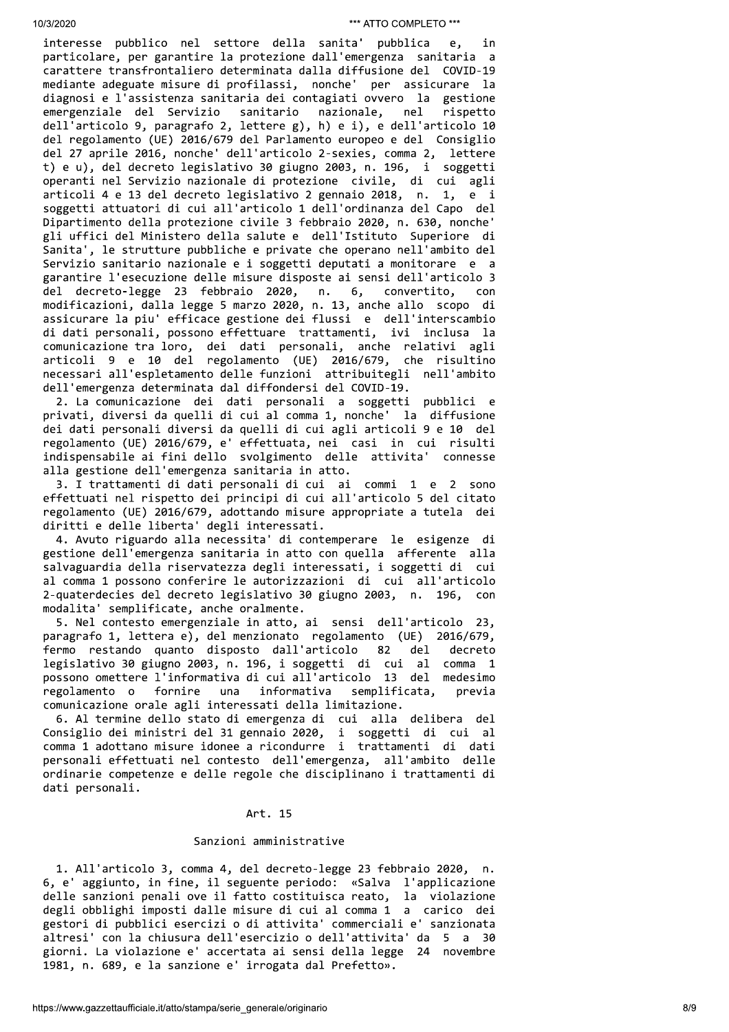interesse pubblico nel settore della sanita' pubblica e, in particolare, per garantire la protezione dall'emergenza sanitaria a carattere transfrontaliero determinata dalla diffusione del COVID-19 mediante adeguate misure di profilassi, nonche' per assicurare la diagnosi e l'assistenza sanitaria dei contagiati ovvero la gestione emergenziale del Servizio sanitario nazionale, nel rispetto dell'articolo 9, paragrafo 2, lettere g), h) e i), e dell'articolo 10 del regolamento (UE) 2016/679 del Parlamento europeo e del Consiglio del 27 aprile 2016, nonche' dell'articolo 2-sexies, comma 2, lettere t) e u), del decreto legislativo 30 giugno 2003, n. 196, i soggetti operanti nel Servizio nazionale di protezione civile, di cui agli articoli 4 e 13 del decreto legislativo 2 gennaio 2018, n. 1, e i soggetti attuatori di cui all'articolo 1 dell'ordinanza del Capo del Dipartimento della protezione civile 3 febbraio 2020, n. 630, nonche' gli uffici del Ministero della salute e dell'Istituto Superiore di Sanita', le strutture pubbliche e private che operano nell'ambito del Servizio sanitario nazionale e i soggetti deputati a monitorare e a garantire l'esecuzione delle misure disposte ai sensi dell'articolo 3 del decreto-legge 23 febbraio 2020, n. 6, convertito,  $con$ modificazioni, dalla legge 5 marzo 2020, n. 13, anche allo scopo di assicurare la piu' efficace gestione dei flussi e dell'interscambio di dati personali, possono effettuare trattamenti, ivi inclusa la comunicazione tra loro, dei dati personali, anche relativi agli articoli 9 e 10 del regolamento (UE) 2016/679, che risultino necessari all'espletamento delle funzioni attribuitegli nell'ambito dell'emergenza determinata dal diffondersi del COVID-19.

2. La comunicazione dei dati personali a soggetti pubblici e privati, diversi da quelli di cui al comma 1, nonche' la diffusione dei dati personali diversi da quelli di cui agli articoli 9 e 10 del regolamento (UE) 2016/679, e' effettuata, nei casi in cui risulti indispensabile ai fini dello svolgimento delle attivita' connesse alla gestione dell'emergenza sanitaria in atto.

3. I trattamenti di dati personali di cui ai commi 1 e 2 sono effettuati nel rispetto dei principi di cui all'articolo 5 del citato regolamento (UE) 2016/679, adottando misure appropriate a tutela dei diritti e delle liberta' degli interessati.

4. Avuto riguardo alla necessita' di contemperare le esigenze di gestione dell'emergenza sanitaria in atto con quella afferente alla salvaguardia della riservatezza degli interessati, i soggetti di cui al comma 1 possono conferire le autorizzazioni di cui all'articolo 2-quaterdecies del decreto legislativo 30 giugno 2003, n. 196, modalita' semplificate, anche oralmente.

5. Nel contesto emergenziale in atto, ai sensi dell'articolo 23, paragrafo 1, lettera e), del menzionato regolamento (UE) 2016/679, fermo restando quanto disposto dall'articolo 82 del decreto legislativo 30 giugno 2003, n. 196, i soggetti di cui al comma 1 possono omettere l'informativa di cui all'articolo 13 del medesimo fornire informativa semplificata, regolamento o una previa comunicazione orale agli interessati della limitazione.

6. Al termine dello stato di emergenza di cui alla delibera del Consiglio dei ministri del 31 gennaio 2020, i soggetti di cui al comma 1 adottano misure idonee a ricondurre i trattamenti di dati personali effettuati nel contesto dell'emergenza, all'ambito delle ordinarie competenze e delle regole che disciplinano i trattamenti di dati personali.

#### Art. 15

### Sanzioni amministrative

1. All'articolo 3, comma 4, del decreto-legge 23 febbraio 2020, n. 6, e' aggiunto, in fine, il seguente periodo: «Salva l'applicazione delle sanzioni penali ove il fatto costituisca reato, la violazione degli obblighi imposti dalle misure di cui al comma 1 a carico dei gestori di pubblici esercizi o di attivita' commerciali e' sanzionata altresi' con la chiusura dell'esercizio o dell'attivita' da 5 a 30 giorni. La violazione e' accertata ai sensi della legge 24 novembre 1981, n. 689, e la sanzione e' irrogata dal Prefetto».